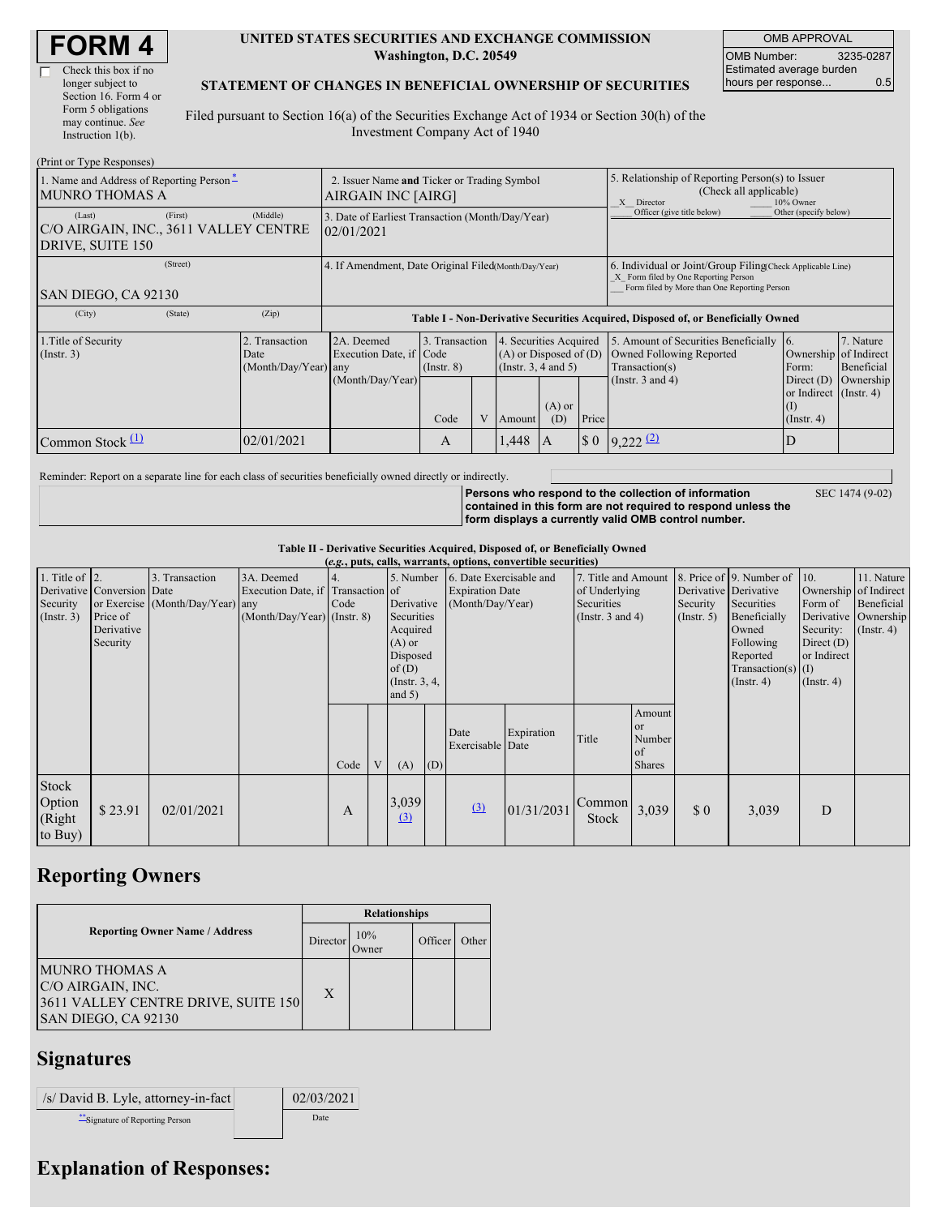| <b>FORM4</b> |
|--------------|
|--------------|

г

| Check this box if no  |
|-----------------------|
| longer subject to     |
| Section 16. Form 4 or |
| Form 5 obligations    |
| may continue. See     |
| Instruction $1(b)$ .  |

#### **UNITED STATES SECURITIES AND EXCHANGE COMMISSION Washington, D.C. 20549**

OMB APPROVAL OMB Number: 3235-0287 Estimated average burden hours per response... 0.5

SEC 1474 (9-02)

#### **STATEMENT OF CHANGES IN BENEFICIAL OWNERSHIP OF SECURITIES**

Filed pursuant to Section 16(a) of the Securities Exchange Act of 1934 or Section 30(h) of the Investment Company Act of 1940

| (Print or Type Responses)                                                                    |            |                                                                                  |                                   |  |                                                                              |                 |                      |                                                                                                                                                    |                                                                   |                         |  |
|----------------------------------------------------------------------------------------------|------------|----------------------------------------------------------------------------------|-----------------------------------|--|------------------------------------------------------------------------------|-----------------|----------------------|----------------------------------------------------------------------------------------------------------------------------------------------------|-------------------------------------------------------------------|-------------------------|--|
| 1. Name and Address of Reporting Person-<br><b>MUNRO THOMAS A</b>                            |            | 2. Issuer Name and Ticker or Trading Symbol<br>AIRGAIN INC [AIRG]                |                                   |  |                                                                              |                 |                      | 5. Relationship of Reporting Person(s) to Issuer<br>(Check all applicable)<br>X Director<br>10% Owner                                              |                                                                   |                         |  |
| (First)<br>(Last)<br>C/O AIRGAIN, INC., 3611 VALLEY CENTRE<br>DRIVE, SUITE 150               | (Middle)   | 3. Date of Earliest Transaction (Month/Day/Year)<br>02/01/2021                   |                                   |  |                                                                              |                 |                      | Officer (give title below)                                                                                                                         | Other (specify below)                                             |                         |  |
| (Street)<br>SAN DIEGO, CA 92130                                                              |            | 4. If Amendment, Date Original Filed Month/Day/Year)                             |                                   |  |                                                                              |                 |                      | 6. Individual or Joint/Group Filing Check Applicable Line)<br>X Form filed by One Reporting Person<br>Form filed by More than One Reporting Person |                                                                   |                         |  |
| (City)<br>(State)                                                                            | (Zip)      | Table I - Non-Derivative Securities Acquired, Disposed of, or Beneficially Owned |                                   |  |                                                                              |                 |                      |                                                                                                                                                    |                                                                   |                         |  |
| 1. Title of Security<br>2. Transaction<br>$($ Instr. 3 $)$<br>Date<br>$(Month/Day/Year)$ any |            | 2A. Deemed<br>Execution Date, if Code                                            | 3. Transaction<br>$($ Instr. $8)$ |  | 4. Securities Acquired<br>$(A)$ or Disposed of $(D)$<br>(Insert. 3, 4 and 5) |                 |                      | 5. Amount of Securities Beneficially<br>Owned Following Reported<br>Transaction(s)                                                                 | $\overline{6}$ .<br>Ownership of Indirect<br>Form:                | 7. Nature<br>Beneficial |  |
|                                                                                              |            | (Month/Day/Year)                                                                 | Code                              |  | Amount                                                                       | $(A)$ or<br>(D) | Price                | (Instr. $3$ and $4$ )                                                                                                                              | Direct $(D)$<br>or Indirect (Instr. 4)<br>(I)<br>$($ Instr. 4 $)$ | Ownership               |  |
| Common Stock $\Pi$                                                                           | 02/01/2021 |                                                                                  | A                                 |  | 1,448                                                                        | А               | $\boldsymbol{\$}\ 0$ | $9,222$ $(2)$                                                                                                                                      | D                                                                 |                         |  |

Reminder: Report on a separate line for each class of securities beneficially owned directly or indirectly.

**Persons who respond to the collection of information contained in this form are not required to respond unless the form displays a currently valid OMB control number.**

**Table II - Derivative Securities Acquired, Disposed of, or Beneficially Owned**

|                                                    | (e.g., puts, calls, warrants, options, convertible securities)   |                                                    |                                                                                  |      |   |                                                                                                      |     |                                                                                 |            |                                                                             |                                        |                           |                                                                                                                                                               |                                                                                                         |                                                                   |
|----------------------------------------------------|------------------------------------------------------------------|----------------------------------------------------|----------------------------------------------------------------------------------|------|---|------------------------------------------------------------------------------------------------------|-----|---------------------------------------------------------------------------------|------------|-----------------------------------------------------------------------------|----------------------------------------|---------------------------|---------------------------------------------------------------------------------------------------------------------------------------------------------------|---------------------------------------------------------------------------------------------------------|-------------------------------------------------------------------|
| 1. Title of $ 2$ .<br>Security<br>$($ Instr. 3 $)$ | Derivative Conversion Date<br>Price of<br>Derivative<br>Security | 3. Transaction<br>or Exercise (Month/Day/Year) any | 3A. Deemed<br>Execution Date, if Transaction of<br>$(Month/Day/Year)$ (Instr. 8) | Code |   | Derivative<br>Securities<br>Acquired<br>$(A)$ or<br>Disposed<br>of(D)<br>(Instr. $3, 4,$<br>and $5)$ |     | 5. Number 6. Date Exercisable and<br><b>Expiration Date</b><br>(Month/Day/Year) |            | 7. Title and Amount<br>of Underlying<br>Securities<br>(Instr. $3$ and $4$ ) |                                        | Security<br>$($ Instr. 5) | 8. Price of 9. Number of<br>Derivative Derivative<br>Securities<br>Beneficially<br>Owned<br>Following<br>Reported<br>Transaction(s) $(I)$<br>$($ Instr. 4 $)$ | 10.<br>Ownership of Indirect<br>Form of<br>Security:<br>Direct $(D)$<br>or Indirect<br>$($ Instr. 4 $)$ | 11. Nature<br>Beneficial<br>Derivative Ownership<br>$($ Instr. 4) |
|                                                    |                                                                  |                                                    |                                                                                  | Code | V | (A)                                                                                                  | (D) | Date<br>Exercisable Date                                                        | Expiration | Title                                                                       | Amount<br>or<br>Number<br>of<br>Shares |                           |                                                                                                                                                               |                                                                                                         |                                                                   |
| Stock<br>Option<br>(Right<br>to Buy)               | \$23.91                                                          | 02/01/2021                                         |                                                                                  | A    |   | 3,039<br>(3)                                                                                         |     | (3)                                                                             | 01/31/2031 | <b>Common</b><br>Stock                                                      | 3,039                                  | \$0                       | 3,039                                                                                                                                                         | D                                                                                                       |                                                                   |

# **Reporting Owners**

|                                                                                                          | <b>Relationships</b> |              |         |       |  |  |  |
|----------------------------------------------------------------------------------------------------------|----------------------|--------------|---------|-------|--|--|--|
| <b>Reporting Owner Name / Address</b>                                                                    | Director             | 10%<br>Owner | Officer | Other |  |  |  |
| <b>MUNRO THOMAS A</b><br>C/O AIRGAIN, INC.<br>3611 VALLEY CENTRE DRIVE, SUITE 150<br>SAN DIEGO, CA 92130 | X                    |              |         |       |  |  |  |

### **Signatures**

| /s/ David B. Lyle, attorney-in-fact | 02/03/2021 |
|-------------------------------------|------------|
| Signature of Reporting Person       | Date       |

# **Explanation of Responses:**